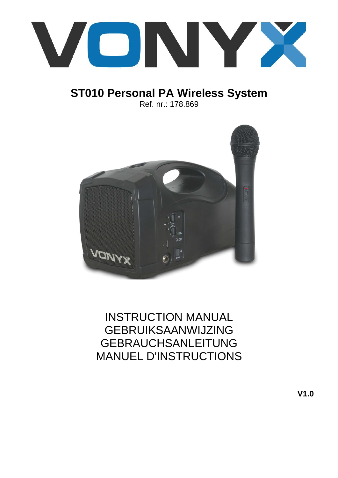

# **ST010 Personal PA Wireless System** Ref. nr.: 178.869



# INSTRUCTION MANUAL GEBRUIKSAANWIJZING GEBRAUCHSANLEITUNG MANUEL D'INSTRUCTIONS

**V1.0**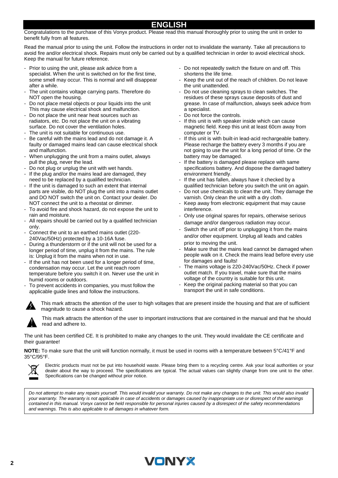### **ENGLISH**

Congratulations to the purchase of this Vonyx product. Please read this manual thoroughly prior to using the unit in order to benefit fully from all features.

Read the manual prior to using the unit. Follow the instructions in order not to invalidate the warranty. Take all precautions to avoid fire and/or electrical shock. Repairs must only be carried out by a qualified technician in order to avoid electrical shock. Keep the manual for future reference.

- Prior to using the unit, please ask advice from a specialist. When the unit is switched on for the first time, some smell may occur. This is normal and will disappear after a while.
- The unit contains voltage carrying parts. Therefore do NOT open the housing.
- Do not place metal objects or pour liquids into the unit This may cause electrical shock and malfunction.
- Do not place the unit near heat sources such as radiators, etc. Do not place the unit on a vibrating surface. Do not cover the ventilation holes.
- The unit is not suitable for continuous use.
- Be careful with the mains lead and do not damage it. A faulty or damaged mains lead can cause electrical shock and malfunction.
- When unplugging the unit from a mains outlet, always pull the plug, never the lead.
- Do not plug or unplug the unit with wet hands.
- If the plug and/or the mains lead are damaged, they need to be replaced by a qualified technician.
- If the unit is damaged to such an extent that internal parts are visible, do NOT plug the unit into a mains outlet and DO NOT switch the unit on. Contact your dealer. Do NOT connect the unit to a rheostat or dimmer.
- To avoid fire and shock hazard, do not expose the unit to rain and moisture.
- All repairs should be carried out by a qualified technician only.
- Connect the unit to an earthed mains outlet (220-240Vac/50Hz) protected by a 10-16A fuse.
- During a thunderstorm or if the unit will not be used for a longer period of time, unplug it from the mains. The rule is: Unplug it from the mains when not in use.
- If the unit has not been used for a longer period of time, condensation may occur. Let the unit reach room temperature before you switch it on. Never use the unit in humid rooms or outdoors.
- To prevent accidents in companies, you must follow the applicable guide lines and follow the instructions.
- Do not repeatedly switch the fixture on and off. This shortens the life time.
- Keep the unit out of the reach of children. Do not leave the unit unattended.
- Do not use cleaning sprays to clean switches. The residues of these sprays cause deposits of dust and grease. In case of malfunction, always seek advice from a specialist.
- Do not force the controls.
- If this unit is with speaker inside which can cause magnetic field. Keep this unit at least 60cm away from computer or TV.
- If this unit is with built-in lead-acid rechargeable battery. Please recharge the battery every 3 months if you are not going to use the unit for a long period of time. Or the battery may be damaged.
- If the battery is damaged please replace with same specifications battery. And dispose the damaged battery environment friendly.
- If the unit has fallen, always have it checked by a qualified technician before you switch the unit on again.
- Do not use chemicals to clean the unit. They damage the varnish. Only clean the unit with a dry cloth.
- Keep away from electronic equipment that may cause interference.
- Only use original spares for repairs, otherwise serious damage and/or dangerous radiation may occur.
- Switch the unit off prior to unplugging it from the mains and/or other equipment. Unplug all leads and cables prior to moving the unit.
- Make sure that the mains lead cannot be damaged when people walk on it. Check the mains lead before every use for damages and faults!
- The mains voltage is 220-240Vac/50Hz. Check if power outlet match. If you travel, make sure that the mains voltage of the country is suitable for this unit.
- Keep the original packing material so that you can transport the unit in safe conditions.



This mark attracts the attention of the user to high voltages that are present inside the housing and that are of sufficient magnitude to cause a shock hazard.

This mark attracts the attention of the user to important instructions that are contained in the manual and that he should read and adhere to.

The unit has been certified CE. It is prohibited to make any changes to the unit. They would invalidate the CE certificate and their guarantee!

**NOTE:** To make sure that the unit will function normally, it must be used in rooms with a temperature between 5°C/41°F and 35°C/95°F.



Electric products must not be put into household waste. Please bring them to a recycling centre. Ask your local authorities or your dealer about the way to proceed. The specifications are typical. The actual values can slightly change from one unit to the other. Specifications can be changed without prior notice.

*Do not attempt to make any repairs yourself. This would invalid your warranty. Do not make any changes to the unit. This would also invalid your warranty. The warranty is not applicable in case of accidents or damages caused by inappropriate use or disrespect of the warnings contained in this manual. Vonyx cannot be held responsible for personal injuries caused by a disrespect of the safety recommendations and warnings. This is also applicable to all damages in whatever form.*

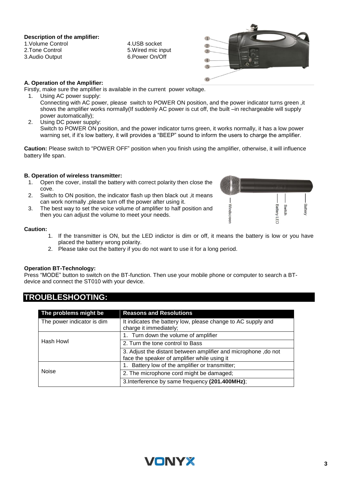**Description of the amplifier:**

1.Volume Control 2.Tone Control 3.Audio Output

4.USB socket 5.Wired mic input 6.Power On/Off



#### **A. Operation of the Amplifier:**

Firstly, make sure the amplifier is available in the current power voltage.

- 1. Using AC power supply: Connecting with AC power, please switch to POWER ON position, and the power indicator turns green ,it shows the amplifier works normally(If suddenly AC power is cut off, the built –in rechargeable will supply power automatically);
- 2. Using DC power supply: Switch to POWER ON position, and the power indicator turns green, it works normally, it has a low power warning set, if it's low battery, it will provides a "BEEP" sound to inform the users to charge the amplifier.

**Caution:** Please switch to "POWER OFF" position when you finish using the amplifier, otherwise, it will influence battery life span.

# **B. Operation of wireless transmitter:**

- Open the cover, install the battery with correct polarity then close the cove.
- 2. Switch to ON position, the indicator flash up then black out ,it means can work normally ,please turn off the power after using it.
- 3. The best way to set the voice volume of amplifier to half position and then you can adjust the volume to meet your needs.

#### **Caution:**

1. If the transmitter is ON, but the LED indictor is dim or off, it means the battery is low or you have placed the battery wrong polarity.

**Windscreer** 

2. Please take out the battery if you do not want to use it for a long period.

#### **Operation BT-Technology:**

Press "MODE" button to switch on the BT-function. Then use your mobile phone or computer to search a BTdevice and connect the ST010 with your device.

| The problems might be      | <b>Reasons and Resolutions</b>                                                                                 |
|----------------------------|----------------------------------------------------------------------------------------------------------------|
| The power indicator is dim | It indicates the battery low, please change to AC supply and<br>charge it immediately;                         |
| Hash Howl                  | 1. Turn down the volume of amplifier                                                                           |
|                            | 2. Turn the tone control to Bass                                                                               |
|                            | 3. Adjust the distant between amplifier and microphone, do not<br>face the speaker of amplifier while using it |
| <b>Noise</b>               | 1. Battery low of the amplifier or transmitter;                                                                |
|                            | 2. The microphone cord might be damaged;                                                                       |
|                            | 3. Interference by same frequency (201.400MHz);                                                                |

# **TROUBLESHOOTING:**



Batter

**Battery LED** Switch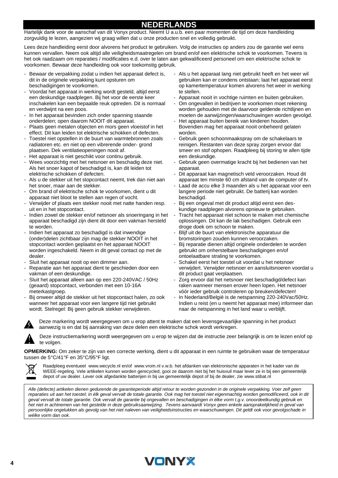## **NEDERLANDS**

Hartelijk dank voor de aanschaf van dit Vonyx product. Neemt U a.u.b. een paar momenten de tijd om deze handleiding zorgvuldig te lezen, aangezien wij graag willen dat u onze producten snel en volledig gebruikt.

Lees deze handleiding eerst door alvorens het product te gebruiken. Volg de instructies op anders zou de garantie wel eens kunnen vervallen. Neem ook altijd alle veiligheidsmaatregelen om brand en/of een elektrische schok te voorkomen. Tevens is het ook raadzaam om reparaties / modificaties e.d. over te laten aan gekwalificeerd personeel om een elektrische schok te voorkomen. Bewaar deze handleiding ook voor toekomstig gebruik.

- Bewaar de verpakking zodat u indien het apparaat defect is, dit in de originele verpakking kunt opsturen om beschadigingen te voorkomen.
- Voordat het apparaat in werking wordt gesteld, altijd eerst een deskundige raadplegen. Bij het voor de eerste keer inschakelen kan een bepaalde reuk optreden. Dit is normaal en verdwijnt na een poos.
- In het apparaat bevinden zich onder spanning staande onderdelen; open daarom NOOIT dit apparaat.
- Plaats geen metalen objecten en mors geen vloeistof in het effect. Dit kan leiden tot elektrische schokken of defecten.
- Toestel niet opstellen in de buurt van warmtebronnen zoals radiatoren etc. en niet op een vibrerende onder- grond plaatsen. Dek ventilatieopeningen nooit af.
- Het apparaat is niet geschikt voor continu gebruik.
- Wees voorzichtig met het netsnoer en beschadig deze niet. Als het snoer kapot of beschadigd is, kan dit leiden tot elektrische schokken of defecten.
- Als u de stekker uit het stopcontact neemt, trek dan niet aan het snoer, maar aan de stekker.
- Om brand of elektrische schok te voorkomen, dient u dit apparaat niet bloot te stellen aan regen of vocht.
- Verwijder of plaats een stekker nooit met natte handen resp. uit en in het stopcontact.
- Indien zowel de stekker en/of netsnoer als snoeringang in het apparaat beschadigd zijn dient dit door een vakman hersteld te worden.
- Indien het apparaat zo beschadigd is dat inwendige (onder)delen zichtbaar zijn mag de stekker NOOIT in het stopcontact worden geplaatst en het apparaat NOOIT worden ingeschakeld. Neem in dit geval contact op met de dealer.
- Sluit het apparaat nooit op een dimmer aan.
- Reparatie aan het apparaat dient te geschieden door een vakman of een deskundige.
- Sluit het apparaat alleen aan op een 220-240VAC / 50Hz (geaard) stopcontact, verbonden met een 10-16A meterkastgroep.
- Bij onweer altijd de stekker uit het stopcontact halen, zo ook wanneer het apparaat voor een langere tijd niet gebruikt wordt. Stelregel: Bij geen gebruik stekker verwijderen.
- Als u het apparaat lang niet gebruikt heeft en het weer wil gebruiken kan er condens ontstaan; laat het apparaat eerst op kamertemperatuur komen alvorens het weer in werking te stellen.
- Apparaat nooit in vochtige ruimten en buiten gebruiken.
- Om ongevallen in bedrijven te voorkomen moet rekening worden gehouden met de daarvoor geldende richtlijnen en moeten de aanwijzingen/waarschuwingen worden gevolgd.
- Het apparaat buiten bereik van kinderen houden. Bovendien mag het apparaat nooit onbeheerd gelaten worden.
- Gebruik geen schoonmaakspray om de schakelaars te reinigen. Restanten van deze spray zorgen ervoor dat smeer en stof ophopen. Raadpleeg bij storing te allen tijde een deskundige.
- Gebruik geen overmatige kracht bij het bedienen van het apparaat.
- Dit apparaat kan magnetisch veld veroorzaken. Houd dit apparaat ten minste 60 cm afstand van de computer of tv.
- Laad de accu elke 3 maanden als u het apparaat voor een langere periode niet gebruikt. De batterij kan worden beschadigd.
- Bij een ongeval met dit product altijd eerst een deskundige raadplegen alvorens opnieuw te gebruiken.
- Tracht het apparaat niet schoon te maken met chemische oplossingen. Dit kan de lak beschadigen. Gebruik een droge doek om schoon te maken.
- Blijf uit de buurt van elektronische apparatuur die bromstoringen zouden kunnen veroorzaken.
- Bij reparatie dienen altijd originele onderdelen te worden gebruikt om onherstelbare beschadigingen en/of ontoelaatbare straling te voorkomen.
- Schakel eerst het toestel uit voordat u het netsnoer verwijdert. Verwijder netsnoer en aansluitsnoeren voordat u dit product gaat verplaatsen.
- Zorg ervoor dat het netsnoer niet beschadigd/defect kan raken wanneer mensen erover heen lopen. Het netsnoer vóór ieder gebruik controleren op breuken/defecten!
- In Nederland/België is de netspanning 220-240Vac/50Hz. Indien u reist (en u neemt het apparaat mee) informeer dan naar de netspanning in het land waar u verblijft.



Deze markering wordt weergegeven om u erop attent te maken dat een levensgevaarlijke spanning in het product aanwezig is en dat bij aanraking van deze delen een elektrische schok wordt verkregen.

Deze instructiemarkering wordt weergegeven om u erop te wijzen dat de instructie zeer belangrijk is om te lezen en/of op te volgen.

**OPMERKING:** Om zeker te zijn van een correcte werking, dient u dit apparaat in een ruimte te gebruiken waar de temperatuur tussen de 5°C/41°F en 35°C/95°F ligt.



Raadpleeg eventueel [www.wecycle.nl](http://www.wecycle.nl/) en/of [www.vrom.nl](http://www.vrom.nl/) v.w.b. het afdanken van elektronische apparaten in het kader van de WEEE-regeling. Vele artikelen kunnen worden gerecycled, gooi ze daarom niet bij het huisvuil maar lever ze in bij een gemeentelijk depot of uw dealer. Lever ook afgedankte batterijen in bij uw gemeentelijk depot of bij de dealer, zie [www.stibat.nl](http://www.stibat.nl/)

*Alle (defecte) artikelen dienen gedurende de garantieperiode altijd retour te worden gezonden in de originele verpakking. Voer zelf geen*  reparaties uit aan het toestel; in élk geval vervalt de totale garantie. Ook mag het toestel niet eigenmachtig worden gemodificeerd, ook in dit *geval vervalt de totale garantie. Ook vervalt de garantie bij ongevallen en beschadigingen in élke vorm t.g.v. onoordeelkundig gebruik en het niet in achtnemen van het gestelde in deze gebruiksaanwijzing. Tevens aanvaardt Vonyx geen enkele aansprakelijkheid in geval van persoonlijke ongelukken als gevolg van het niet naleven van veiligheidsinstructies en waarschuwingen. Dit geldt ook voor gevolgschade in wélke vorm dan ook.*

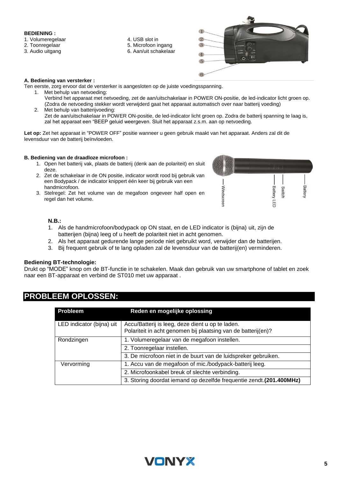#### **BEDIENING :**

#### 1. Volumeregelaar

- 2. Toonregelaar
- 3. Audio uitgang
- 4. USB slot in 5. Microfoon ingang
- 6. Aan/uit schakelaar



#### **A. Bediening van versterker :**

- Ten eerste, zorg ervoor dat de versterker is aangesloten op de juiste voedingsspanning.
	- 1. Met behulp van netvoeding: Verbind het apparaat met netvoeding, zet de aan/uitschakelaar in POWER ON-positie, de led-indicator licht groen op. (Zodra de netvoeding stekker wordt verwijderd gaat het apparaat automatisch over naar batterij voeding)
	- 2. Met behulp van batterijvoeding: Zet de aan/uitschakelaar in POWER ON-positie, de led-indicator licht groen op. Zodra de batterij spanning te laag is, zal het apparaat een "BEEP geluid weergeven. Sluit het apparaat z.s.m. aan op netvoeding.

**Let op:** Zet het apparaat in "POWER OFF" positie wanneer u geen gebruik maakt van het apparaat. Anders zal dit de levensduur van de batterij beïnvloeden.

#### **B. Bediening van de draadloze microfoon :**

- 1. Open het batterij vak, plaats de batterij (denk aan de polariteit) en sluit deze.
- 2. Zet de schakelaar in de ON positie, indicator wordt rood bij gebruik van een Bodypack / de indicator knippert één keer bij gebruik van een handmicrofoon.
- 3. Stelregel: Zet het volume van de megafoon ongeveer half open en regel dan het volume.



#### **N.B.:**

- 1. Als de handmicrofoon/bodypack op ON staat, en de LED indicator is (bijna) uit, zijn de batterijen (bijna) leeg of u heeft de polariteit niet in acht genomen.
- 2. Als het apparaat gedurende lange periode niet gebruikt word, verwijder dan de batterijen.
- 3. Bij frequent gebruik of te lang opladen zal de levensduur van de batterij(en) verminderen.

#### **Bediening BT-technologie:**

Drukt op "MODE" knop om de BT-functie in te schakelen. Maak dan gebruik van uw smartphone of tablet en zoek naar een BT-apparaat en verbind de ST010 met uw apparaat .

| <b>Probleem</b>           | Reden en mogelijke oplossing                                                                                      |
|---------------------------|-------------------------------------------------------------------------------------------------------------------|
| LED indicator (bijna) uit | Accu/Batterij is leeg, deze dient u op te laden.<br>Polariteit in acht genomen bij plaatsing van de batterij(en)? |
| Rondzingen                | 1. Volumeregelaar van de megafoon instellen.                                                                      |
|                           | 2. Toonregelaar instellen.                                                                                        |
|                           | 3. De microfoon niet in de buurt van de luidspreker gebruiken.                                                    |
| Vervorming                | 1. Accu van de megafoon of mic./bodypack-batterij leeg.                                                           |
|                           | 2. Microfoonkabel breuk of slechte verbinding.                                                                    |
|                           | 3. Storing doordat iemand op dezelfde frequentie zendt.(201.400MHz)                                               |

## **PROBLEEM OPLOSSEN:**

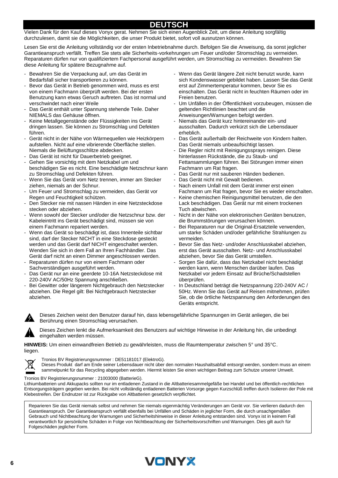### **DEUTSCH**

Vielen Dank für den Kauf dieses Vonyx gerat. Nehmen Sie sich einen Augenblick Zeit, um diese Anleitung sorgfältig durchzulesen, damit sie die Möglichkeiten, die unser Produkt bietet, sofort voll ausnutzen können.

Lesen Sie erst die Anleitung vollständig vor der ersten Inbetriebnahme durch. Befolgen Sie die Anweisung, da sonst jeglicher Garantieanspruch verfällt. Treffen Sie stets alle Sicherheits-vorkehrungen um Feuer und/oder Stromschlag zu vermeiden. Reparaturen dürfen nur von qualifiziertem Fachpersonal ausgeführt werden, um Stromschlag zu vermeiden. Bewahren Sie diese Anleitung für spätere Bezugnahme auf.

- Bewahren Sie die Verpackung auf, um das Gerät im Bedarfsfall sicher transportieren zu können.
- Bevor das Gerät in Betrieb genommen wird, muss es erst von einem Fachmann überprüft werden. Bei der ersten Benutzung kann etwas Geruch auftreten. Das ist normal und verschwindet nach einer Weile
- Das Gerät enthält unter Spannung stehende Teile. Daher NIEMALS das Gehäuse öffnen.
- Keine Metallgegenstände oder Flüssigkeiten ins Gerät dringen lassen. Sie können zu Stromschlag und Defekten führen.
- Gerät nicht in der Nähe von Wärmequellen wie Heizkörpern aufstellen. Nicht auf eine vibrierende Oberfläche stellen. Niemals die Belüftungsschlitze abdecken.
- Das Gerät ist nicht für Dauerbetrieb geeignet.
- Gehen Sie vorsichtig mit dem Netzkabel um und beschädigen Sie es nicht. Eine beschädigte Netzschnur kann zu Stromschlag und Defekten führen.
- Wenn Sie das Gerät vom Netz trennen, immer am Stecker ziehen, niemals an der Schnur.
- Um Feuer und Stromschlag zu vermeiden, das Gerät vor Regen und Feuchtigkeit schützen.
- Den Stecker nie mit nassen Händen in eine Netzsteckdose stecken oder abziehen.
- Wenn sowohl der Stecker und/oder die Netzschnur bzw. der Kabeleintritt ins Gerät beschädigt sind, müssen sie von einem Fachmann repariert werden.
- Wenn das Gerät so beschädigt ist, dass Innenteile sichtbar sind, darf der Stecker NICHT in eine Steckdose gesteckt werden und das Gerät darf NICHT eingeschaltet werden. Wenden Sie sich in dem Fall an Ihren Fachhändler. Das Gerät darf nicht an einen Dimmer angeschlossen werden.
- Reparaturen dürfen nur von einem Fachmann oder Sachverständigen ausgeführt werden.
- Das Gerät nur an eine geerdete 10-16A Netzsteckdose mit 220-240V AC/50Hz Spannung anschließen.
- Bei Gewitter oder längerem Nichtgebrauch den Netzstecker abziehen. Die Regel gilt: Bei Nichtgebrauch Netzstecker abziehen.
- Wenn das Gerät längere Zeit nicht benutzt wurde, kann sich Kondenswasser gebildet haben. Lassen Sie das Gerät erst auf Zimmertemperatur kommen, bevor Sie es einschalten. Das Gerät nicht in feuchten Räumen oder im Freien benutzen.
- Um Unfällen in der Öffentlichkeit vorzubeugen, müssen die geltenden Richtlinien beachtet und die Anweisungen/Warnungen befolgt werden.
- Niemals das Gerät kurz hintereinander ein- und ausschalten. Dadurch verkürzt sich die Lebensdauer erheblich.
- Das Gerät außerhalb der Reichweite von Kindern halten. Das Gerät niemals unbeaufsichtigt lassen.
- Die Regler nicht mit Reinigungssprays reinigen. Diese hinterlassen Rückstände, die zu Staub- und Fettansammlungen führen. Bei Störungen immer einen Fachmann um Rat fragen.
- Das Gerät nur mit sauberen Händen bedienen.
- Das Gerät nicht mit Gewalt bedienen.
- Nach einem Unfall mit dem Gerät immer erst einen Fachmann um Rat fragen, bevor Sie es wieder einschalten.
- Keine chemischen Reinigungsmittel benutzen, die den Lack beschädigen. Das Gerät nur mit einem trockenen Tuch abwischen.
- Nicht in der Nähe von elektronischen Geräten benutzen, die Brummstörungen verursachen können.
- Bei Reparaturen nur die Original-Ersatzteile verwenden, um starke Schäden und/oder gefährliche Strahlungen zu vermeiden.
- Bevor Sie das Netz- und/oder Anschlusskabel abziehen, erst das Gerät ausschalten. Netz- und Anschlusskabel abziehen, bevor Sie das Gerät umstellen.
- Sorgen Sie dafür, dass das Netzkabel nicht beschädigt werden kann, wenn Menschen darüber laufen. Das Netzkabel vor jedem Einsatz auf Brüche/Schadstellen überprüfen.
- In Deutschland beträgt die Netzspannung 220-240V AC / 50Hz. Wenn Sie das Gerät auf Reisen mitnehmen, prüfen Sie, ob die örtliche Netzspannung den Anforderungen des Geräts entspricht.



Dieses Zeichen weist den Benutzer darauf hin, dass lebensgefährliche Spannungen im Gerät anliegen, die bei Berührung einen Stromschlag verursachen.

Dieses Zeichen lenkt die Aufmerksamkeit des Benutzers auf wichtige Hinweise in der Anleitung hin, die unbedingt eingehalten werden müssen.

**HINWEIS:** Um einen einwandfreien Betrieb zu gewährleisten, muss die Raumtemperatur zwischen 5° und 35°C. liegen.



Tronios BV Registrierungsnummer : DE51181017 (ElektroG).

Dieses Produkt darf am Ende seiner Lebensdauer nicht über den normalen Haushaltsabfall entsorgt werden, sondern muss an einem sammelpunkt für das Recycling abgegeben werden. Hiermit leisten Sie einen wichtigen Beitrag zum Schutze unserer Umwelt.

Tronios BV Registrierungsnummer : 21003000 (BatterieG).

Lithiumbatterien und Akkupacks sollten nur im entladenen Zustand in die Altbatteriesammelgefäße bei Handel und bei öffentlich-rechtlichen Entsorgungsträgern gegeben werden. Bei nicht vollständig entladenen Batterien Vorsorge gegen Kurzschlüß treffen durch Isolieren der Pole mit Klebestreifen. Der Endnutzer ist zur Rückgabe von Altbatterien gesetzlich verpflichtet.

Reparieren Sie das Gerät niemals selbst und nehmen Sie niemals eigenmächtig Veränderungen am Gerät vor. Sie verlieren dadurch den Garantieanspruch. Der Garantieanspruch verfällt ebenfalls bei Unfällen und Schäden in jeglicher Form, die durch unsachgemäßen Gebrauch und Nichtbeachtung der Warnungen und Sicherheitshinweise in dieser Anleitung entstanden sind. Vonyx ist in keinem Fall verantwortlich für persönliche Schäden in Folge von Nichtbeachtung der Sicherheitsvorschriften und Warnungen. Dies gilt auch für Folgeschäden jeglicher Form.

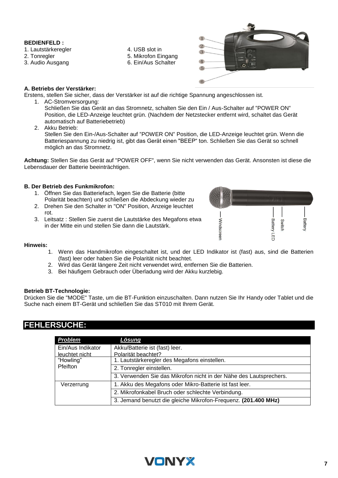#### **BEDIENFELD :**

- 1. Lautstärkeregler
- 2. Tonregler
- 3. Audio Ausgang
- 4. USB slot in
- 5. Mikrofon Eingang
- 6. Ein/Aus Schalter



#### **A. Betriebs der Verstärker:**

Erstens, stellen Sie sicher, dass der Verstärker ist auf die richtige Spannung angeschlossen ist.

1. AC-Stromversorgung:

Schließen Sie das Gerät an das Stromnetz, schalten Sie den Ein / Aus-Schalter auf "POWER ON" Position, die LED-Anzeige leuchtet grün. (Nachdem der Netzstecker entfernt wird, schaltet das Gerät automatisch auf Batteriebetrieb)

2. Akku Betrieb:

Stellen Sie den Ein-/Aus-Schalter auf "POWER ON" Position, die LED-Anzeige leuchtet grün. Wenn die Batteriespannung zu niedrig ist, gibt das Gerät einen "BEEP" ton. Schließen Sie das Gerät so schnell möglich an das Stromnetz.

**Achtung:** Stellen Sie das Gerät auf "POWER OFF", wenn Sie nicht verwenden das Gerät. Ansonsten ist diese die Lebensdauer der Batterie beeinträchtigen.

#### **B. Der Betrieb des Funkmikrofon:**

- 1. Öffnen Sie das Batteriefach, legen Sie die Batterie (bitte Polarität beachten) und schließen die Abdeckung wieder zu
- 2. Drehen Sie den Schalter in "ON" Position, Anzeige leuchtet rot.
- 3. Leitsatz : Stellen Sie zuerst die Lautstärke des Megafons etwa in der Mitte ein und stellen Sie dann die Lautstärk.



#### **Hinweis:**

- 1. Wenn das Handmikrofon eingeschaltet ist, und der LED Indikator ist (fast) aus, sind die Batterien (fast) leer oder haben Sie die Polarität nicht beachtet.
- 2. Wird das Gerät längere Zeit nicht verwendet wird, entfernen Sie die Batterien.
- 3. Bei häufigem Gebrauch oder Überladung wird der Akku kurzlebig.

#### **Betrieb BT-Technologie:**

Drücken Sie die "MODE" Taste, um die BT-Funktion einzuschalten. Dann nutzen Sie Ihr Handy oder Tablet und die Suche nach einem BT-Gerät und schließen Sie das ST010 mit Ihrem Gerät.

### **FEHLERSUCHE:**

| <b>Problem</b>               | <u>Lösung</u>                                                      |
|------------------------------|--------------------------------------------------------------------|
| Ein/Aus Indikator            | Akku/Batterie ist (fast) leer.                                     |
| leuchtet nicht               | Polarität beachtet?                                                |
| "Howling"<br><b>Pfeifton</b> | 1. Lautstärkeregler des Megafons einstellen.                       |
|                              | 2. Tonregler einstellen.                                           |
|                              | 3. Verwenden Sie das Mikrofon nicht in der Nähe des Lautsprechers. |
| Verzerrung                   | 1. Akku des Megafons oder Mikro-Batterie ist fast leer.            |
|                              | 2. Mikrofonkabel Bruch oder schlechte Verbindung.                  |
|                              | 3. Jemand benutzt die gleiche Mikrofon-Frequenz. (201.400 MHz)     |

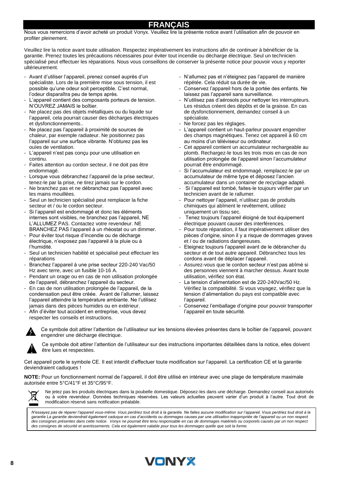### **FRANÇAIS**

Nous vous remercions d'avoir acheté un produit Vonyx. Veuillez lire la présente notice avant l'utilisation afin de pouvoir en profiter pleinement.

Veuillez lire la notice avant toute utilisation. Respectez impérativement les instructions afin de continuer à bénéficier de la garantie. Prenez toutes les précautions nécessaires pour éviter tout incendie ou décharge électrique. Seul un technicien spécialisé peut effectuer les réparations. Nous vous conseillons de conserver la présente notice pour pouvoir vous y reporter ultérieurement.

- Avant d'utiliser l'appareil, prenez conseil auprès d'un spécialiste. Lors de la première mise sous tension, il est possible qu'une odeur soit perceptible. C'est normal, l'odeur disparaîtra peu de temps après.
- L'appareil contient des composants porteurs de tension. N'OUVREZ JAMAIS le boîtier.
- Ne placez pas des objets métalliques ou du liquide sur l'appareil, cela pourrait causer des décharges électriques et dysfonctionnements..
- Ne placez pas l'appareil à proximité de sources de chaleur, par exemple radiateur. Ne positionnez pas l'appareil sur une surface vibrante. N'obturez pas les ouïes de ventilation.
- L'appareil n'est pas conçu pour une utilisation en continu.
- Faites attention au cordon secteur, il ne doit pas être endommagé.
- Lorsque vous débranchez l'appareil de la prise secteur, tenez-le par la prise, ne tirez jamais sur le cordon.
- Ne branchez pas et ne débranchez pas l'appareil avec les mains mouillées.
- Seul un technicien spécialisé peut remplacer la fiche secteur et / ou le cordon secteur.
- Si l'appareil est endommagé et donc les éléments internes sont visibles, ne branchez pas l'appareil, NE L'ALLUMEZ PAS. Contactez votre revendeur. NE BRANCHEZ PAS l'appareil à un rhéostat ou un dimmer.
- Pour éviter tout risque d'incendie ou de décharge électrique, n'exposez pas l'appareil à la pluie ou à l'humidité.
- Seul un technicien habilité et spécialisé peut effectuer les réparations
- Branchez l'appareil à une prise secteur 220-240 Vac/50 Hz avec terre, avec un fusible 10-16 A.
- Pendant un orage ou en cas de non utilisation prolongée de l'appareil, débranchez l'appareil du secteur.
- En cas de non utilisation prolongée de l'appareil, de la condensation peut être créée. Avant de l'allumer, laissez l'appareil atteindre la température ambiante. Ne l'utilisez jamais dans des pièces humides ou en extérieur.
- Afin d'éviter tout accident en entreprise, vous devez respecter les conseils et instructions.
- 

Ce symbole doit attirer l'attention de l'utilisateur sur les tensions élevées présentes dans le boîtier de l'appareil, pouvant engendrer une décharge électrique.



Ce symbole doit attirer l'attention de l'utilisateur sur des instructions importantes détaillées dans la notice, elles doivent être lues et respectées.

Cet appareil porte le symbole CE. Il est interdit d'effectuer toute modification sur l'appareil. La certification CE et la garantie deviendraient caduques !

**NOTE:** Pour un fonctionnement normal de l'appareil, il doit être utilisé en intérieur avec une plage de température maximale autorisée entre 5°C/41°F et 35°C/95°F.



Ne jetez pas les produits électriques dans la poubelle domestique. Déposez-les dans une décharge. Demandez conseil aux autorisés ou à votre revendeur. Données techniques réservées. Les valeurs actuelles peuvent varier d'un produit à l'autre. Tout droit de modification réservé sans notification préalable.

*N'essayez pas de réparer l'appareil vous-même. Vous perdriez tout droit à la garantie. Ne faites aucune modification sur l'appareil. Vous perdriez tout droit à la garantie La garantie deviendrait également caduque en cas d'accidents ou dommages causes par une utilisation inappropriée de l'appareil ou un non respect des consignes présentes dans cette notice. Vonyx ne pourrait être tenu responsable en cas de dommages matériels ou corporels causés par un non respect des consignes de sécurité et avertissements. Cela est également valable pour tous les dommages quelle que soit la forme.*

- N'allumez pas et n'éteignez pas l'appareil de manière répétée. Cela réduit sa durée de vie.
- Conservez l'appareil hors de la portée des enfants. Ne laissez pas l'appareil sans surveillance.
- N'utilisez pas d'aérosols pour nettoyer les interrupteurs. Les résidus créent des dépôts et de la graisse. En cas de dysfonctionnement, demandez conseil à un spécialiste.
- Ne forcez pas les réglages.
- L'appareil contient un haut-parleur pouvant engendrer des champs magnétiques. Tenez cet appareil à 60 cm au moins d'un téléviseur ou ordinateur.
- Cet appareil contient un accumulateur rechargeable au plomb. Rechargez-le tous les trois mois en cas de non utilisation prolongée de l'appareil sinon l'accumulateur pourrait être endommagé.
- Si l'accumulateur est endommagé, remplacez-le par un accumulateur de même type et déposez l'ancien accumulateur dans un container de recyclage adapté.
- Si l'appareil est tombé, faites-le toujours vérifier par un technicien avant de le rallumer.
- Pour nettoyer l'appareil, n'utilisez pas de produits chimiques qui abîment le revêtement, utilisez uniquement un tissu sec.
- Tenez toujours l'appareil éloigné de tout équipement électrique pouvant causer des interférences.
- Pour toute réparation, il faut impérativement utiliser des pièces d'origine, sinon il y a risque de dommages graves et / ou de radiations dangereuses.
- Eteignez toujours l'appareil avant de le débrancher du secteur et de tout autre appareil. Débranchez tous les cordons avant de déplacer l'appareil.
- Assurez-vous que le cordon secteur n'est pas abîmé si des personnes viennent à marcher dessus. Avant toute utilisation, vérifiez son état.
- La tension d'alimentation est de 220-240Vac/50 Hz. Vérifiez la compatibilité. Si vous voyagez, vérifiez que la tension d'alimentation du pays est compatible avec l'appareil.
- Conservez l'emballage d'origine pour pouvoir transporter l'appareil en toute sécurité.

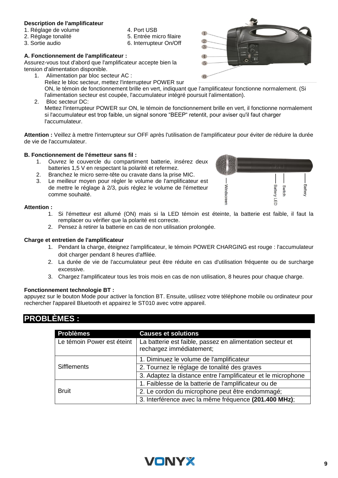#### **Description de l'amplificateur**

- 1. Réglage de volume
- 2. Réglage tonalité
- 3. Sortie audio
- 4. Port USB
- 5. Entrée micro filaire
- 6. Interrupteur On/Off
- **A. Fonctionnement de l'amplificateur :**

Assurez-vous tout d'abord que l'amplificateur accepte bien la tension d'alimentation disponible.

- 1. Alimentation par bloc secteur AC : Reliez le bloc secteur, mettez l'interrupteur POWER sur ON, le témoin de fonctionnement brille en vert, indiquant que l'amplificateur fonctionne normalement. (Si l'alimentation secteur est coupée, l'accumulateur intégré poursuit l'alimentation).
- 2. Bloc secteur DC: Mettez l'interrupteur POWER sur ON, le témoin de fonctionnement brille en vert, il fonctionne normalement si l'accumulateur est trop faible, un signal sonore "BEEP" retentit, pour aviser qu'il faut charger l'accumulateur.

**Attention :** Veillez à mettre l'interrupteur sur OFF après l'utilisation de l'amplificateur pour éviter de réduire la durée de vie de l'accumulateur.

#### **B. Fonctionnement de l'émetteur sans fil :**

- 1. Ouvrez le couvercle du compartiment batterie, insérez deux batteries 1,5 V en respectant la polarité et refermez.
- 2. Branchez le micro serre-tête ou cravate dans la prise MIC.
- 3. Le meilleur moyen pour régler le volume de l'amplificateur est de mettre le réglage à 2/3, puis réglez le volume de l'émetteur comme souhaité.

#### **Attention :**

- 1. Si l'émetteur est allumé (ON) mais si la LED témoin est éteinte, la batterie est faible, il faut la remplacer ou vérifier que la polarité est correcte.
- 2. Pensez à retirer la batterie en cas de non utilisation prolongée.

#### **Charge et entretien de l'amplificateur**

- 1. Pendant la charge, éteignez l'amplificateur, le témoin POWER CHARGING est rouge : l'accumulateur doit charger pendant 8 heures d'affilée.
- 2. La durée de vie de l'accumulateur peut être réduite en cas d'utilisation fréquente ou de surcharge excessive.
- 3. Chargez l'amplificateur tous les trois mois en cas de non utilisation, 8 heures pour chaque charge.

#### **Fonctionnement technologie BT :**

appuyez sur le bouton Mode pour activer la fonction BT. Ensuite, utilisez votre téléphone mobile ou ordinateur pour rechercher l'appareil Bluetooth et appairez le ST010 avec votre appareil.

## **PROBLÈMES :**

| <b>Problèmes</b>           | <b>Causes et solutions</b>                                                            |
|----------------------------|---------------------------------------------------------------------------------------|
| Le témoin Power est éteint | La batterie est faible, passez en alimentation secteur et<br>rechargez immédiatement; |
| <b>Sifflements</b>         | 1. Diminuez le volume de l'amplificateur                                              |
|                            | 2. Tournez le réglage de tonalité des graves                                          |
|                            | 3. Adaptez la distance entre l'amplificateur et le microphone                         |
| <b>Bruit</b>               | 1. Faiblesse de la batterie de l'amplificateur ou de                                  |
|                            | 2. Le cordon du microphone peut être endommagé;                                       |
|                            | 3. Interférence avec la même fréquence (201.400 MHz);                                 |





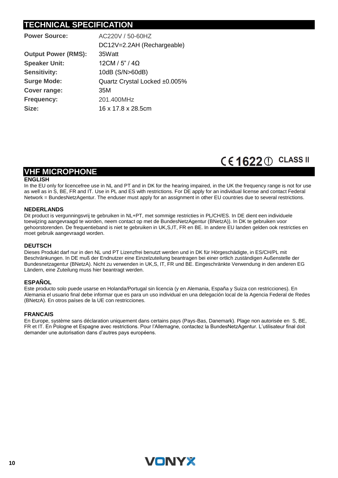# **TECHNICAL SPECIFICATION**

| <b>Power Source:</b>       | AC220V / 50-60HZ              |
|----------------------------|-------------------------------|
|                            | DC12V=2.2AH (Rechargeable)    |
| <b>Output Power (RMS):</b> | 35Watt                        |
| <b>Speaker Unit:</b>       | $12$ CM / 5" / 4Ω             |
| <b>Sensitivity:</b>        | 10dB (S/N>60dB)               |
| <b>Surge Mode:</b>         | Quartz Crystal Locked ±0.005% |
| <b>Cover range:</b>        | 35M                           |
| <b>Frequency:</b>          | 201.400MHz                    |
| Size:                      | 16 x 17.8 x 28.5cm            |
|                            |                               |

# CE1622 1 CLASS II

## **VHF MICROPHONE**

#### **ENGLISH**

In the EU only for licencefree use in NL and PT and in DK for the hearing impaired, in the UK the frequency range is not for use as well as in S, BE, FR and IT. Use in PL and ES with restrictions. For DE apply for an individual license and contact Federal Network = BundesNetzAgentur. The enduser must apply for an assignment in other EU countries due to several restrictions.

#### **NEDERLANDS**

Dit product is vergunningsvrij te gebruiken in NL+PT, met sommige restricties in PL/CH/ES. In DE dient een individuele toewijzing aangevraagd te worden, neem contact op met de BundesNetzAgentur (BNetzA)). In DK te gebruiken voor gehoorstorenden. De frequentieband is niet te gebruiken in UK,S,IT, FR en BE. In andere EU landen gelden ook restricties en moet gebruik aangevraagd worden.

#### **DEUTSCH**

Dieses Produkt darf nur in den NL und PT Lizenzfrei benutzt werden und in DK für Hörgeschädigte, in ES/CH/PL mit Beschränkungen. In DE muß der Endnutzer eine Einzelzuteilung beantragen bei einer ortlich zuständigen Außenstelle der Bundesnetzagentur (BNetzA). Nicht zu verwenden in UK,S, IT, FR und BE. Eingeschränkte Verwendung in den anderen EG Ländern, eine Zuteilung muss hier beantragt werden.

#### **ESPAÑOL**

Este producto solo puede usarse en Holanda/Portugal sin licencia (y en Alemania, España y Suiza con restricciones). En Alemania el usuario final debe informar que es para un uso individual en una delegación local de la Agencia Federal de Redes (BNetzA). En otros países de la UE con restricciones.

#### **FRANCAIS**

En Europe, système sans déclaration uniquement dans certains pays (Pays-Bas, Danemark). Plage non autorisée en S, BE, FR et IT. En Pologne et Espagne avec restrictions. Pour l'Allemagne, contactez la BundesNetzAgentur. L'utilisateur final doit demander une autorisation dans d'autres pays européens.

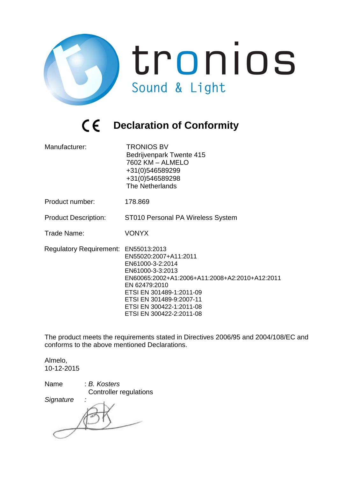

# *C* **E** Declaration of Conformity

| Manufacturer:                        | <b>TRONIOS BV</b><br>Bedrijvenpark Twente 415<br>7602 KM - ALMELO<br>+31(0)546589299<br>+31(0)546589298<br>The Netherlands                                                                                                                       |
|--------------------------------------|--------------------------------------------------------------------------------------------------------------------------------------------------------------------------------------------------------------------------------------------------|
| Product number:                      | 178.869                                                                                                                                                                                                                                          |
| <b>Product Description:</b>          | ST010 Personal PA Wireless System                                                                                                                                                                                                                |
| Trade Name:                          | <b>VONYX</b>                                                                                                                                                                                                                                     |
| Regulatory Requirement: EN55013:2013 | EN55020:2007+A11:2011<br>EN61000-3-2:2014<br>EN61000-3-3:2013<br>EN60065:2002+A1:2006+A11:2008+A2:2010+A12:2011<br>EN 62479:2010<br>ETSI EN 301489-1:2011-09<br>ETSI EN 301489-9:2007-11<br>ETSI EN 300422-1:2011-08<br>ETSI EN 300422-2:2011-08 |

The product meets the requirements stated in Directives 2006/95 and 2004/108/EC and conforms to the above mentioned Declarations.

Almelo, 10-12-2015

| Name      | : B. Kosters                  |
|-----------|-------------------------------|
|           | <b>Controller regulations</b> |
| Signature |                               |
|           |                               |